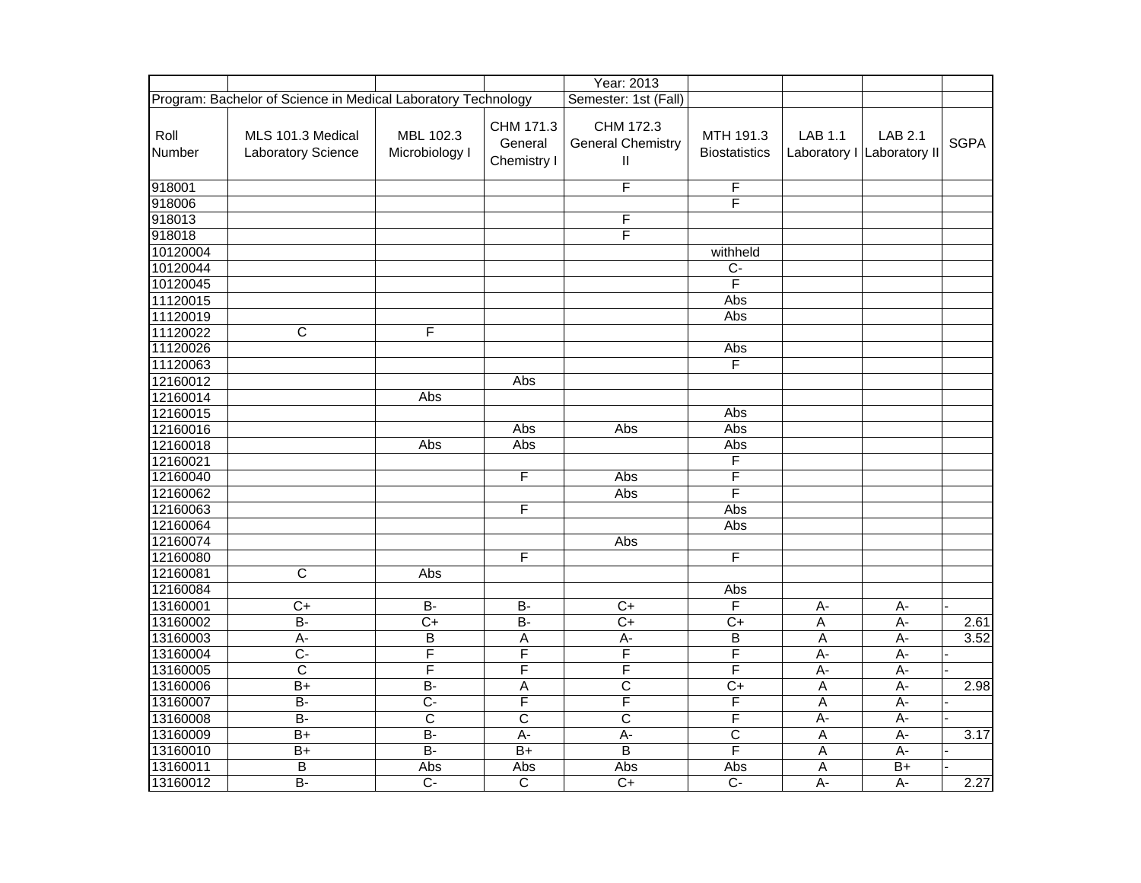|                |                                                               |                             |                                     | Year: 2013                                            |                                   |                |                                              |             |
|----------------|---------------------------------------------------------------|-----------------------------|-------------------------------------|-------------------------------------------------------|-----------------------------------|----------------|----------------------------------------------|-------------|
|                | Program: Bachelor of Science in Medical Laboratory Technology |                             |                                     | Semester: 1st (Fall)                                  |                                   |                |                                              |             |
| Roll<br>Number | MLS 101.3 Medical<br>Laboratory Science                       | MBL 102.3<br>Microbiology I | CHM 171.3<br>General<br>Chemistry I | CHM 172.3<br><b>General Chemistry</b><br>$\mathbf{I}$ | MTH 191.3<br><b>Biostatistics</b> | <b>LAB 1.1</b> | <b>LAB 2.1</b><br>Laboratory I Laboratory II | <b>SGPA</b> |
| 918001         |                                                               |                             |                                     | F                                                     | F                                 |                |                                              |             |
| 918006         |                                                               |                             |                                     |                                                       | F                                 |                |                                              |             |
| 918013         |                                                               |                             |                                     | $\overline{F}$                                        |                                   |                |                                              |             |
| 918018         |                                                               |                             |                                     | $\overline{\mathsf{F}}$                               |                                   |                |                                              |             |
| 10120004       |                                                               |                             |                                     |                                                       | withheld                          |                |                                              |             |
| 10120044       |                                                               |                             |                                     |                                                       | $\overline{C}$                    |                |                                              |             |
| 10120045       |                                                               |                             |                                     |                                                       | Ē                                 |                |                                              |             |
| 11120015       |                                                               |                             |                                     |                                                       | Abs                               |                |                                              |             |
| 11120019       |                                                               |                             |                                     |                                                       | Abs                               |                |                                              |             |
| 11120022       | C                                                             | F                           |                                     |                                                       |                                   |                |                                              |             |
| 11120026       |                                                               |                             |                                     |                                                       | Abs                               |                |                                              |             |
| 11120063       |                                                               |                             |                                     |                                                       | F                                 |                |                                              |             |
| 12160012       |                                                               |                             | Abs                                 |                                                       |                                   |                |                                              |             |
| 12160014       |                                                               | Abs                         |                                     |                                                       |                                   |                |                                              |             |
| 12160015       |                                                               |                             |                                     |                                                       | Abs                               |                |                                              |             |
| 12160016       |                                                               |                             | Abs                                 | Abs                                                   | Abs                               |                |                                              |             |
| 12160018       |                                                               | Abs                         | Abs                                 |                                                       | Abs                               |                |                                              |             |
| 12160021       |                                                               |                             |                                     |                                                       | F                                 |                |                                              |             |
| 12160040       |                                                               |                             | F                                   | Abs                                                   | F                                 |                |                                              |             |
| 12160062       |                                                               |                             |                                     | Abs                                                   | F                                 |                |                                              |             |
| 12160063       |                                                               |                             | F                                   |                                                       | Abs                               |                |                                              |             |
| 12160064       |                                                               |                             |                                     |                                                       | Abs                               |                |                                              |             |
| 12160074       |                                                               |                             |                                     | Abs                                                   |                                   |                |                                              |             |
| 12160080       |                                                               |                             | F                                   |                                                       | F                                 |                |                                              |             |
| 12160081       | C                                                             | Abs                         |                                     |                                                       |                                   |                |                                              |             |
| 12160084       |                                                               |                             |                                     |                                                       | Abs                               |                |                                              |             |
| 13160001       | $\overline{C}$                                                | $\overline{B}$              | $\overline{B}$                      | $\overline{C}$                                        | F                                 | A-             | А-                                           |             |
| 13160002       | $\overline{B}$                                                | $\overline{C+}$             | $\overline{B}$                      | $\overline{C}$                                        | $\overline{C}$                    | Α              | $A -$                                        | 2.61        |
| 13160003       | $A -$                                                         | B                           | A                                   | A-                                                    | B                                 | A              | A-                                           | 3.52        |
| 13160004       | $\overline{C}$                                                | F                           | F                                   | F                                                     | F                                 | A-             | А-                                           |             |
| 13160005       | $\overline{\text{c}}$                                         | F                           | $\overline{\mathsf{F}}$             | F                                                     | F                                 | $A -$          | $A -$                                        |             |
| 13160006       | $\overline{B+}$                                               | $B -$                       | A                                   | $\overline{\text{c}}$                                 | $C+$                              | $\overline{A}$ | $A -$                                        | 2.98        |
| 13160007       | B-                                                            | $\overline{C}$              | F                                   | F                                                     | F                                 | A              | A-                                           |             |
| 13160008       | $\overline{B}$                                                | C                           | $\mathsf{C}$                        | $\mathsf{C}$                                          | F                                 | $A -$          | A-                                           |             |
| 13160009       | $B+$                                                          | $B -$                       | $A -$                               | $\overline{A}$ -                                      | $\overline{\text{c}}$             | $\overline{A}$ | $\overline{A}$                               | 3.17        |
| 13160010       | $\overline{B+}$                                               | $B -$                       | $B+$                                | $\overline{B}$                                        | F                                 | A              | $\overline{A}$                               |             |
| 13160011       | В                                                             | Abs                         | Abs                                 | Abs                                                   | Abs                               | A              | $B+$                                         |             |
| 13160012       | $\overline{B}$                                                | $\overline{C}$              | $\overline{C}$                      | $\overline{C+}$                                       | $C -$                             | $A -$          | $A -$                                        | 2.27        |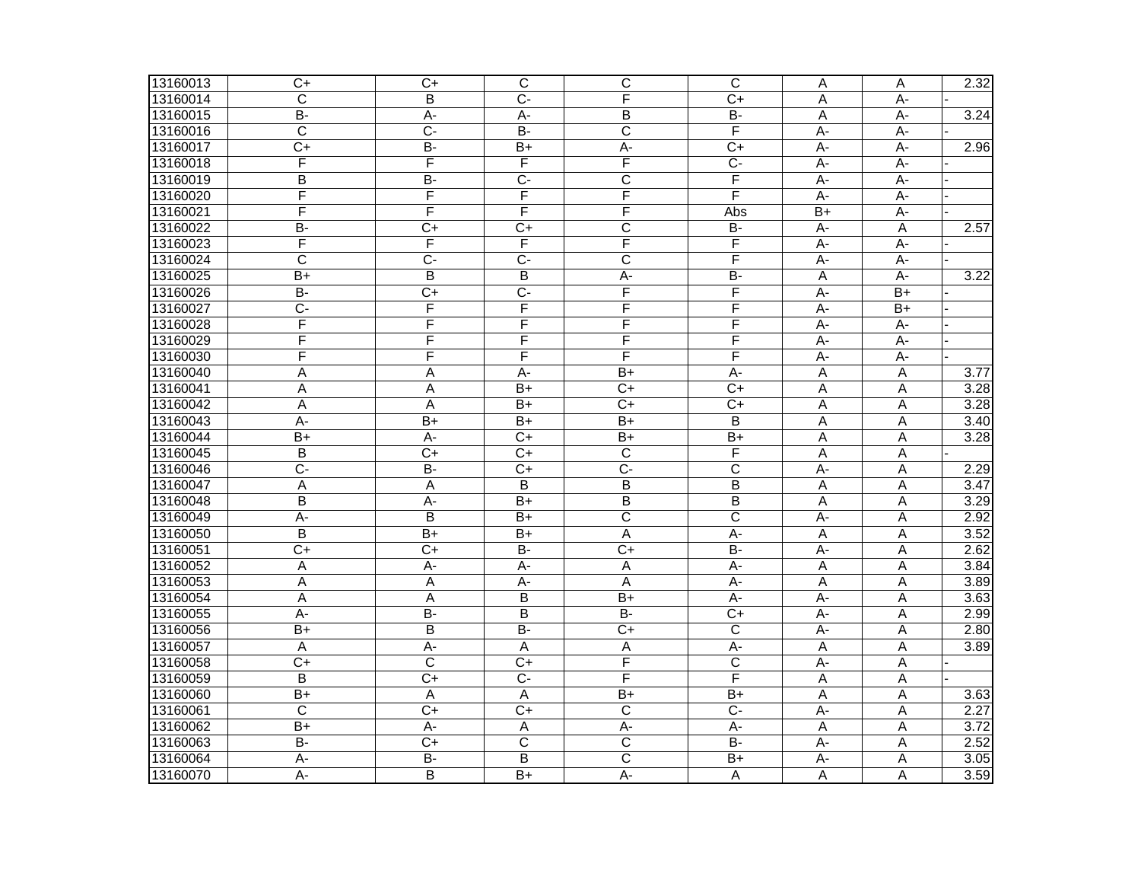| 13160013 | $C+$                  | $\overline{C+}$ | $\overline{\text{c}}$   | C                       | $\overline{\text{c}}$ | $\overline{A}$ | A               | 2.32              |
|----------|-----------------------|-----------------|-------------------------|-------------------------|-----------------------|----------------|-----------------|-------------------|
| 13160014 | $\overline{\text{c}}$ | B               | $\overline{C}$          | F                       | $\overline{C+}$       | A              | $A -$           |                   |
| 13160015 | B-                    | A-              | A-                      | B                       | $\overline{B}$        | A              | $A -$           | 3.24              |
| 13160016 | $\overline{C}$        | $\overline{C}$  | $B -$                   | $\overline{C}$          | F                     | $A -$          | A-              |                   |
| 13160017 | $\overline{C}$        | $B -$           | B+                      | $\overline{A}$ -        | $\overline{C+}$       | $\overline{A}$ | $\overline{A}$  | 2.96              |
| 13160018 | F                     | F               | F                       | F                       | $\overline{C}$        | $A -$          | A-              |                   |
| 13160019 | B                     | <b>B-</b>       | $\overline{C}$          | $\mathsf{C}$            | F                     | A-             | A-              |                   |
| 13160020 | F                     | F               | F                       | F                       | F                     | A-             | A-              |                   |
| 13160021 | F                     | F               | F                       | F                       | Abs                   | $B+$           | A-              |                   |
| 13160022 | $\overline{B}$        | $\overline{C+}$ | $\overline{C}$          | $\overline{\text{c}}$   | $B -$                 | $A -$          | A               | 2.57              |
| 13160023 | F                     | F               | F                       | F                       | F                     | A-             | A-              |                   |
| 13160024 | $\overline{\text{c}}$ | $\overline{C}$  | $\overline{C}$          | $\overline{\text{c}}$   | F                     | A-             | A-              |                   |
| 13160025 | B+                    | B               | B                       | $A -$                   | $\overline{B}$        | A              | A-              | 3.22              |
| 13160026 | $B -$                 | $\overline{C+}$ | $\overline{C}$          | F                       | F                     | $A -$          | $\overline{B+}$ |                   |
| 13160027 | $\overline{C}$        | F               | F                       | F                       | F                     | $\overline{A}$ | $\overline{B+}$ |                   |
| 13160028 | F                     | F               | F                       | F                       | F                     | A-             | A-              |                   |
| 13160029 | F                     | F               | $\overline{\mathsf{F}}$ | F                       | F                     | $A -$          | $\overline{A}$  |                   |
| 13160030 | F                     | F               | F                       | F                       | F                     | A-             | A-              |                   |
| 13160040 | A                     | Α               | $A -$                   | $\overline{B+}$         | A-                    | A              | A               | $\overline{3.77}$ |
| 13160041 | Α                     | Α               | B+                      | $C+$                    | $C+$                  | A              | Α               | 3.28              |
| 13160042 | Α                     | A               | B+                      | $C+$                    | $C+$                  | A              | A               | 3.28              |
| 13160043 | $\overline{A}$        | $\overline{B+}$ | $\overline{B+}$         | $\overline{B+}$         | $\overline{B}$        | Α              | A               | 3.40              |
| 13160044 | B+                    | A-              | $\overline{C}$          | $\overline{B+}$         | $\overline{B+}$       | Α              | Α               | 3.28              |
| 13160045 | B                     | $\overline{C+}$ | $\overline{C}$          | $\overline{C}$          | F                     | A              | A               |                   |
| 13160046 | $\overline{C}$        | $B -$           | C+                      | $\overline{C}$          | $\overline{C}$        | A-             | A               | 2.29              |
| 13160047 | Α                     | A               | B                       | B                       | B                     | A              | $\overline{A}$  | 3.47              |
| 13160048 | B                     | $A -$           | B+                      | $\overline{B}$          | B                     | A              | A               | 3.29              |
| 13160049 | A-                    | B               | B+                      | $\overline{\text{c}}$   | $\mathsf{C}$          | A-             | A               | 2.92              |
| 13160050 | B                     | $B+$            | B+                      | A                       | A-                    | A              | Α               | 3.52              |
| 13160051 | $\overline{C}$        | $\overline{C}$  | $\overline{B}$          | $C+$                    | $B -$                 | A-             | A               | 2.62              |
| 13160052 | A                     | $A -$           | $A -$                   | $\overline{A}$          | $A -$                 | A              | A               | 3.84              |
| 13160053 | А                     | A               | А-                      | A                       | A-                    | A              | Α               | 3.89              |
| 13160054 | A                     | A               | B                       | $B+$                    | A-                    | A-             | A               | 3.63              |
| 13160055 | $\overline{A}$        | $B -$           | $\overline{B}$          | $B -$                   | $\overline{C}$        | $\overline{A}$ | A               | 2.99              |
| 13160056 | $\overline{B+}$       | $\overline{B}$  | $\overline{B}$          | $C+$                    | $\overline{C}$        | $A -$          | Α               | 2.80              |
| 13160057 | A                     | $A -$           | A                       | Α                       | A-                    | A              | A               | 3.89              |
| 13160058 | $C+$                  | C               | $C+$                    | F                       | $\mathsf{C}$          | $A -$          | $\overline{A}$  |                   |
| 13160059 | B                     | $\overline{C}$  | $\overline{C}$          | F                       | F                     | A              | A               |                   |
| 13160060 | B+                    | A               | A                       | $\overline{B+}$         | $\overline{B+}$       | A              | A               | 3.63              |
| 13160061 | $\overline{\text{c}}$ | $\overline{C}$  | $\overline{C}$          | $\overline{\mathsf{C}}$ | $\overline{C}$        | $\overline{A}$ | Α               | 2.27              |
| 13160062 | $B+$                  | A-              | A                       | $A -$                   | $A -$                 | A              | A               | 3.72              |
| 13160063 | $\overline{B}$        | $\overline{C}$  | С                       | C                       | $\overline{B}$        | $\overline{A}$ | A               | 2.52              |
| 13160064 | A-                    | $\overline{B}$  | B                       | $\overline{\mathsf{C}}$ | $\overline{B+}$       | A-             | $\overline{A}$  | 3.05              |
| 13160070 | A-                    | B               | B+                      | $\overline{A}$ -        | A                     | A              | A               | 3.59              |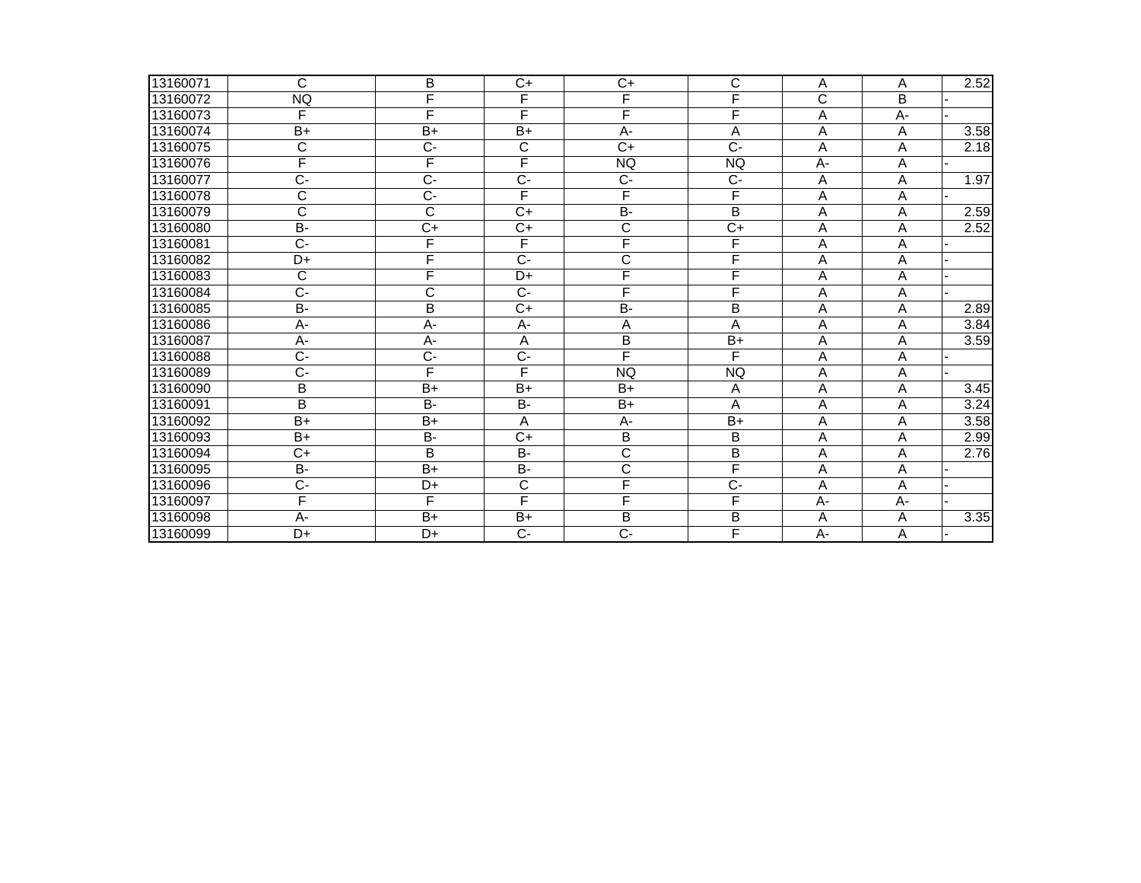| 13160071 | С                     | B                     | $\overline{C}$        | $C+$                  | C               | A              | A              | 2.52 |
|----------|-----------------------|-----------------------|-----------------------|-----------------------|-----------------|----------------|----------------|------|
| 13160072 | <b>NQ</b>             | F                     | F                     | F                     | F               | C              | B              |      |
| 13160073 | F                     | F                     | F                     | F                     | F               | A              | A-             |      |
| 13160074 | $B+$                  | $B+$                  | $B+$                  | A-                    | A               | Α              | Α              | 3.58 |
| 13160075 | $\overline{\text{c}}$ | $\overline{C}$        | $\overline{\text{c}}$ | $\overline{C+}$       | $\overline{C}$  | A              | A              | 2.18 |
| 13160076 | F                     | F                     | F                     | <b>NQ</b>             | <b>NQ</b>       | $\overline{A}$ | A              |      |
| 13160077 | $\overline{C}$        | $\overline{C}$        | $\overline{C}$        | $\overline{C}$        | $\overline{C}$  | Α              | A              | 1.97 |
| 13160078 | С                     | $C -$                 | F                     | F                     | F               | A              | A              |      |
| 13160079 | $\overline{\text{c}}$ | $\overline{\text{c}}$ | $C+$                  | $\overline{B}$        | $\overline{B}$  | A              | A              | 2.59 |
| 13160080 | <b>B-</b>             | $\overline{C+}$       | $\overline{C+}$       | $\overline{\text{c}}$ | $\overline{C}$  | A              | $\overline{A}$ | 2.52 |
| 13160081 | $C -$                 | F                     | F                     | F                     | F               | A              | Α              |      |
| 13160082 | D+                    | F                     | $C -$                 | C                     | F               | A              | A              |      |
| 13160083 | C                     | F                     | $D+$                  | F                     | F               | A              | A              |      |
| 13160084 | $\overline{C}$ -      | $\overline{\text{c}}$ | $\overline{C}$        | F                     | F               | A              | A              |      |
| 13160085 | <b>B-</b>             | B                     | $C+$                  | <b>B-</b>             | B               | A              | A              | 2.89 |
| 13160086 | A-                    | A-                    | А-                    | Α                     | A               | Α              | Α              | 3.84 |
| 13160087 | A-                    | A-                    | A                     | B                     | $\overline{B+}$ | A              | A              | 3.59 |
| 13160088 | $\overline{C}$        | $\overline{C}$        | $\overline{C}$        | F                     | F               | A              | A              |      |
| 13160089 | Ċ-                    | F                     | F                     | <b>NQ</b>             | <b>NQ</b>       | Α              | A              |      |
| 13160090 | B                     | $B+$                  | $B+$                  | $B+$                  | A               | A              | A              | 3.45 |
| 13160091 | B                     | $\overline{B}$        | $\overline{B}$        | $\overline{B+}$       | $\overline{A}$  | A              | A              | 3.24 |
| 13160092 | $B+$                  | $B+$                  | A                     | А-                    | $B+$            | A              | A              | 3.58 |
| 13160093 | $B+$                  | B-                    | $C+$                  | $\overline{B}$        | B               | Α              | Α              | 2.99 |
| 13160094 | $C+$                  | B                     | <b>B-</b>             | C                     | B               | A              | A              | 2.76 |
| 13160095 | <b>B-</b>             | $\overline{B+}$       | <b>B-</b>             | $\overline{\text{c}}$ | F               | A              | A              |      |
| 13160096 | $\overline{C}$        | D+                    | $\overline{C}$        | F                     | $\overline{C}$  | Α              | A              |      |
| 13160097 | F                     | F                     | F                     | F                     | F               | A-             | $A -$          |      |
| 13160098 | A-                    | $B+$                  | $B+$                  | B                     | B               | A              | A              | 3.35 |
| 13160099 | $D+$                  | D+                    | $C -$                 | $\overline{C}$ -      | F               | A-             | A              |      |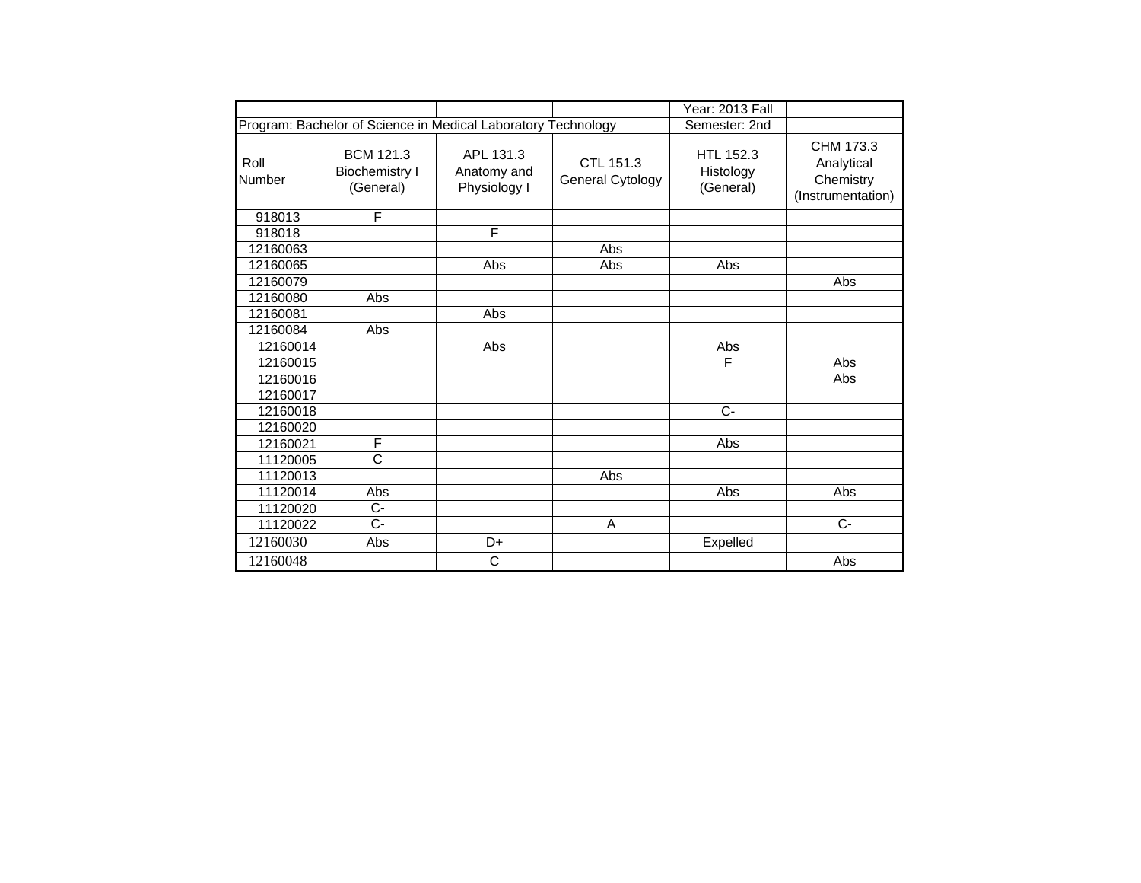|                       |                                                               |                                          |                               | Year: 2013 Fall                     |                                                           |
|-----------------------|---------------------------------------------------------------|------------------------------------------|-------------------------------|-------------------------------------|-----------------------------------------------------------|
|                       | Program: Bachelor of Science in Medical Laboratory Technology |                                          |                               | Semester: 2nd                       |                                                           |
| Roll<br><b>Number</b> | <b>BCM 121.3</b><br><b>Biochemistry I</b><br>(General)        | APL 131.3<br>Anatomy and<br>Physiology I | CTL 151.3<br>General Cytology | HTL 152.3<br>Histology<br>(General) | CHM 173.3<br>Analytical<br>Chemistry<br>(Instrumentation) |
| 918013                | F                                                             |                                          |                               |                                     |                                                           |
| 918018                |                                                               | F                                        |                               |                                     |                                                           |
| 12160063              |                                                               |                                          | Abs                           |                                     |                                                           |
| 12160065              |                                                               | Abs                                      | Abs                           | Abs                                 |                                                           |
| 12160079              |                                                               |                                          |                               |                                     | Abs                                                       |
| 12160080              | Abs                                                           |                                          |                               |                                     |                                                           |
| 12160081              |                                                               | Abs                                      |                               |                                     |                                                           |
| 12160084              | Abs                                                           |                                          |                               |                                     |                                                           |
| 12160014              |                                                               | Abs                                      |                               | Abs                                 |                                                           |
| 12160015              |                                                               |                                          |                               | F                                   | Abs                                                       |
| 12160016              |                                                               |                                          |                               |                                     | Abs                                                       |
| 12160017              |                                                               |                                          |                               |                                     |                                                           |
| 12160018              |                                                               |                                          |                               | $C -$                               |                                                           |
| 12160020              |                                                               |                                          |                               |                                     |                                                           |
| 12160021              | F                                                             |                                          |                               | Abs                                 |                                                           |
| 11120005              | $\overline{\text{c}}$                                         |                                          |                               |                                     |                                                           |
| 11120013              |                                                               |                                          | Abs                           |                                     |                                                           |
| 11120014              | Abs                                                           |                                          |                               | Abs                                 | Abs                                                       |
| 11120020              | $\overline{C}$                                                |                                          |                               |                                     |                                                           |
| 11120022              | C-                                                            |                                          | A                             |                                     | $C-$                                                      |
| 12160030              | Abs                                                           | D+                                       |                               | Expelled                            |                                                           |
| 12160048              |                                                               | C                                        |                               |                                     | Abs                                                       |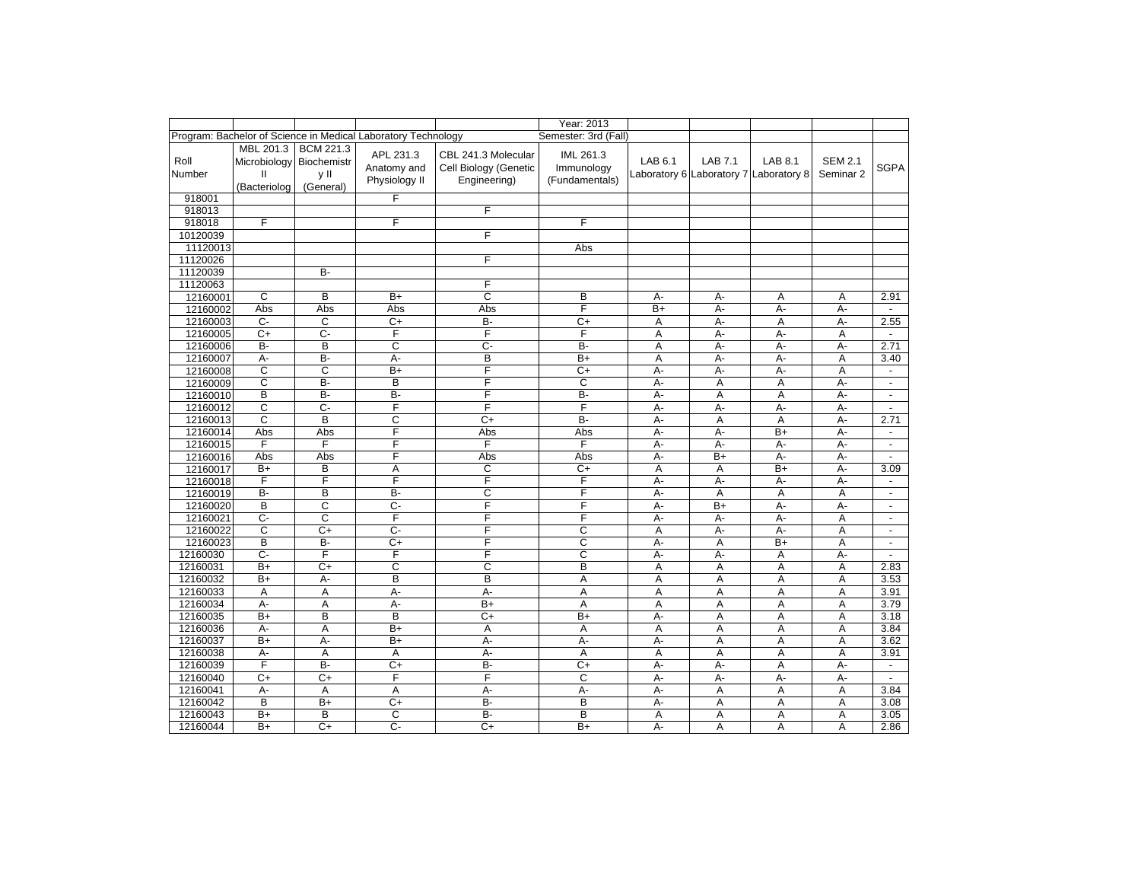|                |                                                                       |                                       |                                                               |                                                              | Year: 2013                                |         |                |                                                          |                             |                          |
|----------------|-----------------------------------------------------------------------|---------------------------------------|---------------------------------------------------------------|--------------------------------------------------------------|-------------------------------------------|---------|----------------|----------------------------------------------------------|-----------------------------|--------------------------|
|                |                                                                       |                                       | Program: Bachelor of Science in Medical Laboratory Technology |                                                              | Semester: 3rd (Fall)                      |         |                |                                                          |                             |                          |
| Roll<br>Number | MBL 201.3<br>Microbiology Biochemistr<br>$\mathbf{H}$<br>(Bacteriolog | <b>BCM 221.3</b><br>y II<br>(General) | APL 231.3<br>Anatomy and<br>Physiology II                     | CBL 241.3 Molecular<br>Cell Biology (Genetic<br>Engineering) | IML 261.3<br>Immunology<br>(Fundamentals) | LAB 6.1 | <b>LAB 7.1</b> | <b>LAB 8.1</b><br>Laboratory 6 Laboratory 7 Laboratory 8 | <b>SEM 2.1</b><br>Seminar 2 | <b>SGPA</b>              |
| 918001         |                                                                       |                                       | F                                                             |                                                              |                                           |         |                |                                                          |                             |                          |
| 918013         |                                                                       |                                       |                                                               | F                                                            |                                           |         |                |                                                          |                             |                          |
| 918018         | F                                                                     |                                       | F                                                             |                                                              | F                                         |         |                |                                                          |                             |                          |
| 10120039       |                                                                       |                                       |                                                               | F                                                            |                                           |         |                |                                                          |                             |                          |
| 11120013       |                                                                       |                                       |                                                               |                                                              | Abs                                       |         |                |                                                          |                             |                          |
| 11120026       |                                                                       |                                       |                                                               | F                                                            |                                           |         |                |                                                          |                             |                          |
| 11120039       |                                                                       | <b>B-</b>                             |                                                               |                                                              |                                           |         |                |                                                          |                             |                          |
| 11120063       |                                                                       |                                       |                                                               | F                                                            |                                           |         |                |                                                          |                             |                          |
| 12160001       | $\overline{c}$                                                        | B                                     | $B+$                                                          | $\overline{c}$                                               | B                                         | А-      | А-             | Α                                                        | Α                           | 2.91                     |
| 12160002       | Abs                                                                   | Abs                                   | Abs                                                           | Abs                                                          | F                                         | $B+$    | A-             | A-                                                       | A-                          | $\sim$                   |
| 12160003       | $C -$                                                                 | C                                     | $C+$                                                          | B-                                                           | $\overline{C}$                            | Α       | $A -$          | $\overline{A}$                                           | А-                          | 2.55                     |
| 12160005       | $C+$                                                                  | $\overline{C}$                        | F                                                             | F                                                            | F                                         | A       | $A -$          | $A -$                                                    | $\overline{A}$              | $\overline{\phantom{a}}$ |
| 12160006       | <b>B-</b>                                                             | B                                     | C                                                             | $C -$                                                        | B-                                        | Α       | А-             | A-                                                       | А-                          | 2.71                     |
| 12160007       | $A -$                                                                 | B-                                    | А-                                                            | B                                                            | $B+$                                      | Α       | $A -$          | $A -$                                                    | A                           | 3.40                     |
| 12160008       | C                                                                     | C                                     | $B+$                                                          | F                                                            | $\overline{C}$                            | А-      | A-             | A-                                                       | A                           | $\blacksquare$           |
| 12160009       | C                                                                     | B-                                    | B                                                             | F                                                            | C                                         | $A -$   | Α              | Α                                                        | $A -$                       | $\mathbf{r}$             |
| 12160010       | B                                                                     | $B -$                                 | B-                                                            | F                                                            | <b>B-</b>                                 | А-      | Α              | Α                                                        | А-                          | $\blacksquare$           |
| 12160012       | C                                                                     | $\overline{C}$                        | F                                                             | F                                                            | F                                         | A-      | A-             | A-                                                       | A-                          | $\blacksquare$           |
| 12160013       | $\overline{c}$                                                        | B                                     | C                                                             | $\overline{C+}$                                              | $B -$                                     | A-      | A              | $\overline{A}$                                           | A-                          | 2.71                     |
| 12160014       | Abs                                                                   | Abs                                   | F                                                             | Abs                                                          | Abs                                       | A-      | $A -$          | $B+$                                                     | A-                          | $\blacksquare$           |
| 12160015       | F                                                                     | F                                     | F                                                             | F                                                            | F                                         | A-      | A-             | $A -$                                                    | A-                          | $\blacksquare$           |
| 12160016       | Abs                                                                   | Abs                                   | F                                                             | Abs                                                          | Abs                                       | $A -$   | $B+$           | A-                                                       | А-                          | $\mathbf{r}$             |
| 12160017       | $B+$                                                                  | B                                     | Α                                                             | C                                                            | $\overline{C}$                            | Α       | Α              | $B+$                                                     | A-                          | 3.09                     |
| 12160018       | F                                                                     | F                                     | F                                                             | F                                                            | F                                         | A-      | A-             | A-                                                       | A-                          | $\blacksquare$           |
| 12160019       | B-                                                                    | B                                     | B-                                                            | C                                                            | F                                         | А-      | Α              | Α                                                        | Α                           | $\blacksquare$           |
| 12160020       | B                                                                     | С                                     | C-                                                            | F                                                            | F                                         | А-      | $B+$           | А-                                                       | А-                          | $\blacksquare$           |
| 12160021       | $\overline{C}$                                                        | C                                     | F                                                             | F                                                            | F                                         | А-      | $A -$          | $A -$                                                    | A                           | $\blacksquare$           |
| 12160022       | C                                                                     | $C+$                                  | $\overline{C}$                                                | F                                                            | C                                         | A       | A-             | A-                                                       | Α                           | $\blacksquare$           |
| 12160023       | B                                                                     | B-                                    | $C+$                                                          | F                                                            | C                                         | A-      | Α              | $B+$                                                     | A                           | $\blacksquare$           |
| 12160030       | C-                                                                    | F                                     | F                                                             | F                                                            | C                                         | А-      | А-             | A                                                        | А-                          | $\blacksquare$           |
| 12160031       | $B+$                                                                  | $C+$                                  | C                                                             | C                                                            | B                                         | Α       | A              | A                                                        | Α                           | 2.83                     |
| 12160032       | B+                                                                    | А-                                    | B                                                             | B                                                            | A                                         | A       | Α              | A                                                        | Α                           | 3.53                     |
| 12160033       | A                                                                     | A                                     | А-                                                            | А-                                                           | A                                         | A       | Α              | A                                                        | A                           | 3.91                     |
| 12160034       | А-                                                                    | Α                                     | А-                                                            | $B+$                                                         | Α                                         | A       | Α              | Α                                                        | Α                           | 3.79                     |
| 12160035       | $B+$                                                                  | B                                     | B                                                             | $C+$                                                         | $B+$                                      | A-      | A              | $\overline{A}$                                           | A                           | 3.18                     |
| 12160036       | А-                                                                    | Α                                     | $\overline{B+}$                                               | Α                                                            | A                                         | Α       | $\overline{A}$ | A                                                        | A                           | 3.84                     |
| 12160037       | $B+$                                                                  | A-                                    | $\overline{B+}$                                               | А-                                                           | A-                                        | A-      | $\overline{A}$ | A                                                        | A                           | 3.62                     |
| 12160038       | A-                                                                    | A                                     | A                                                             | А-                                                           | A                                         | A       | A              | A                                                        | A                           | 3.91                     |
| 12160039       | F                                                                     | $B -$                                 | C+                                                            | <b>B-</b>                                                    | $\overline{C+}$                           | А-      | A-             | A                                                        | A-                          | $\overline{\phantom{a}}$ |
| 12160040       | C+                                                                    | $C+$                                  | $\overline{F}$                                                | F                                                            | C                                         | А-      | А-             | $A -$                                                    | А-                          | $\sim$                   |
| 12160041       | $A -$                                                                 | Α                                     | Α                                                             | $A -$                                                        | $A -$                                     | А-      | A              | $\overline{A}$                                           | A                           | 3.84                     |
| 12160042       | B                                                                     | $B+$                                  | $\overline{C}$                                                | B-                                                           | B                                         | А-      | A              | A                                                        | A                           | 3.08                     |
| 12160043       | $B+$                                                                  | B                                     | C                                                             | B-                                                           | B                                         | Α       | Α              | Α                                                        | Α                           | 3.05                     |
| 12160044       | $\overline{B+}$                                                       | $\overline{C+}$                       | C-                                                            | $\overline{C}$                                               | $\overline{B+}$                           | А-      | A              | A                                                        | A                           | 2.86                     |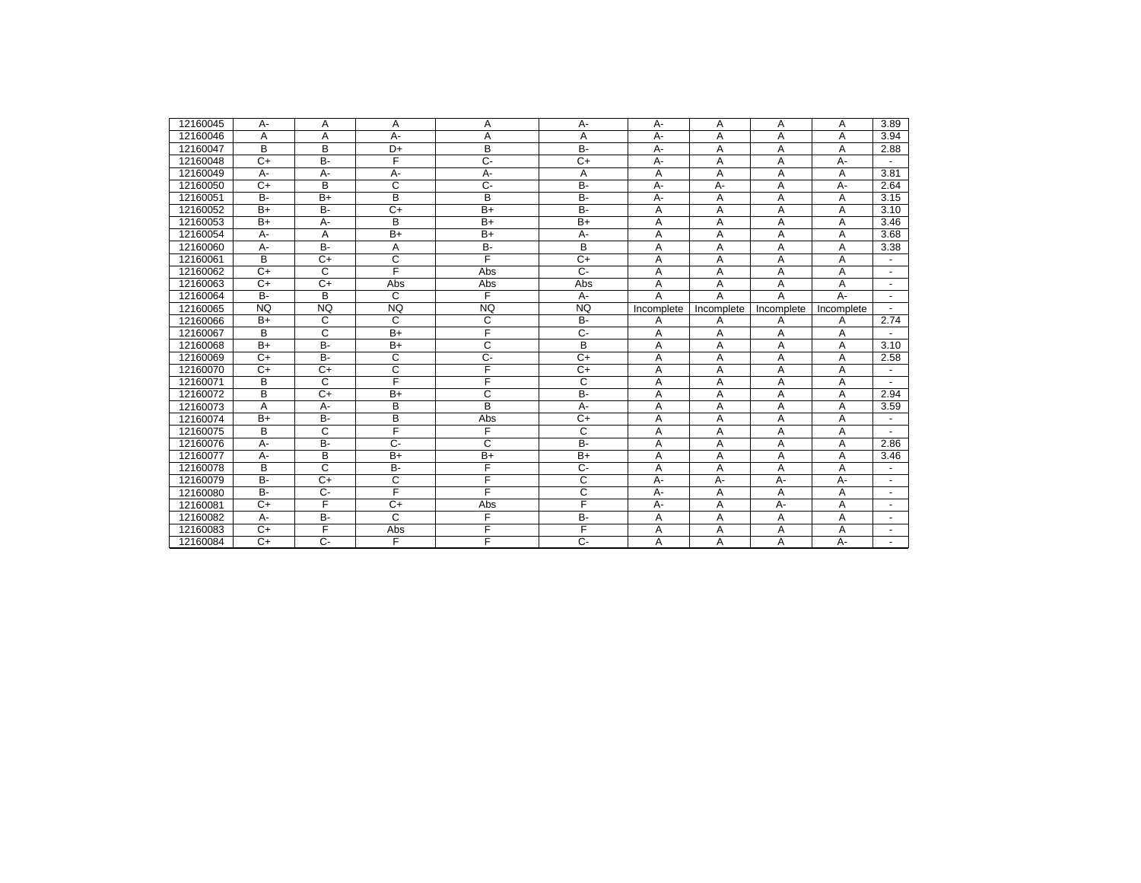| 12160045 | A-        | A               | A              | A              | A-             | $A -$      | A          | A          | A          | 3.89                     |
|----------|-----------|-----------------|----------------|----------------|----------------|------------|------------|------------|------------|--------------------------|
| 12160046 | Α         | Α               | А-             | Α              | Α              | А-         | A          | Α          | Α          | 3.94                     |
| 12160047 | B         | B               | D+             | B              | <b>B-</b>      | $A -$      | A          | A          | A          | 2.88                     |
| 12160048 | $C+$      | <b>B-</b>       | F              | $\overline{C}$ | $C+$           | A-         | A          | A          | A-         |                          |
| 12160049 | A-        | $A -$           | A-             | А-             | A              | A          | A          | A          | A          | 3.81                     |
| 12160050 | $C+$      | B               | C              | $\overline{C}$ | <b>B-</b>      | А-         | А-         | A          | A-         | 2.64                     |
| 12160051 | <b>B-</b> | $\overline{B+}$ | B              | B              | $B -$          | $A -$      | A          | A          | Α          | 3.15                     |
| 12160052 | $B+$      | <b>B-</b>       | $C+$           | $B+$           | B-             | Α          | Α          | Α          | Α          | 3.10                     |
| 12160053 | $B+$      | A-              | B              | $B+$           | $B+$           | A          | A          | A          | A          | 3.46                     |
| 12160054 | A-        | Α               | $B+$           | $B+$           | А-             | A          | A          | Α          | Α          | 3.68                     |
| 12160060 | A-        | $B -$           | A              | B-             | B              | A          | A          | A          | A          | 3.38                     |
| 12160061 | B         | $C+$            | C              | F              | $C+$           | A          | A          | A          | Α          |                          |
| 12160062 | $C+$      | C               | F              | Abs            | $\overline{C}$ | A          | A          | A          | A          |                          |
| 12160063 | $C+$      | $C+$            | Abs            | Abs            | Abs            | A          | A          | A          | Α          |                          |
| 12160064 | <b>B-</b> | B               | C              | F              | $A -$          | A          | A          | А          | A-         | $\blacksquare$           |
| 12160065 | <b>NQ</b> | <b>NQ</b>       | <b>NQ</b>      | <b>NQ</b>      | <b>NQ</b>      | Incomplete | Incomplete | Incomplete | Incomplete |                          |
| 12160066 | $B+$      | C               | C              | C              | <b>B-</b>      | A          | A          | A          | Α          | 2.74                     |
| 12160067 | B         | C               | $B+$           | F              | $C-$           | A          | A          | A          | A          |                          |
| 12160068 | $B+$      | $B -$           | $B+$           | C              | B              | A          | A          | A          | A          | 3.10                     |
| 12160069 | $C+$      | <b>B-</b>       | $\overline{c}$ | $\overline{C}$ | $C+$           | A          | A          | A          | Α          | 2.58                     |
| 12160070 | $C+$      | $C+$            | C              | F              | $C+$           | Α          | A          | Α          | Α          |                          |
| 12160071 | B         | C               | F              | F              | C              | Α          | Α          | A          | Α          |                          |
| 12160072 | B         | $C+$            | $B+$           | C              | <b>B-</b>      | A          | A          | A          | Α          | 2.94                     |
| 12160073 | A         | А-              | B              | B              | A-             | Α          | A          | A          | Α          | 3.59                     |
| 12160074 | $B+$      | $B -$           | B              | Abs            | $\overline{C}$ | A          | A          | Α          | A          |                          |
| 12160075 | B         | C               | F              | F              | C              | A          | A          | A          | A          |                          |
| 12160076 | А-        | <b>B-</b>       | $C -$          | C              | $B -$          | Α          | A          | Α          | Α          | 2.86                     |
| 12160077 | A-        | B               | $B+$           | $B+$           | $B+$           | A          | A          | A          | A          | 3.46                     |
| 12160078 | B         | C               | B-             | Ē              | $\overline{C}$ | A          | A          | A          | A          |                          |
| 12160079 | <b>B-</b> | $C+$            | C              | F              | C              | $A -$      | А-         | А-         | А-         | $\overline{\phantom{a}}$ |
| 12160080 | <b>B-</b> | $\overline{C}$  | F              | F              | C              | А-         | Α          | A          | Α          | $\overline{\phantom{a}}$ |
| 12160081 | $C+$      | F               | $C+$           | Abs            | F              | $A -$      | A          | A-         | A          |                          |
| 12160082 | $A -$     | <b>B-</b>       | C              | F              | $B -$          | A          | A          | A          | Α          |                          |
| 12160083 | $C+$      | F               | Abs            | F              | F              | Α          | A          | A          | Α          | $\overline{\phantom{a}}$ |
| 12160084 | $C+$      | $C -$           | F              | F              | $C -$          | A          | A          | A          | $A -$      |                          |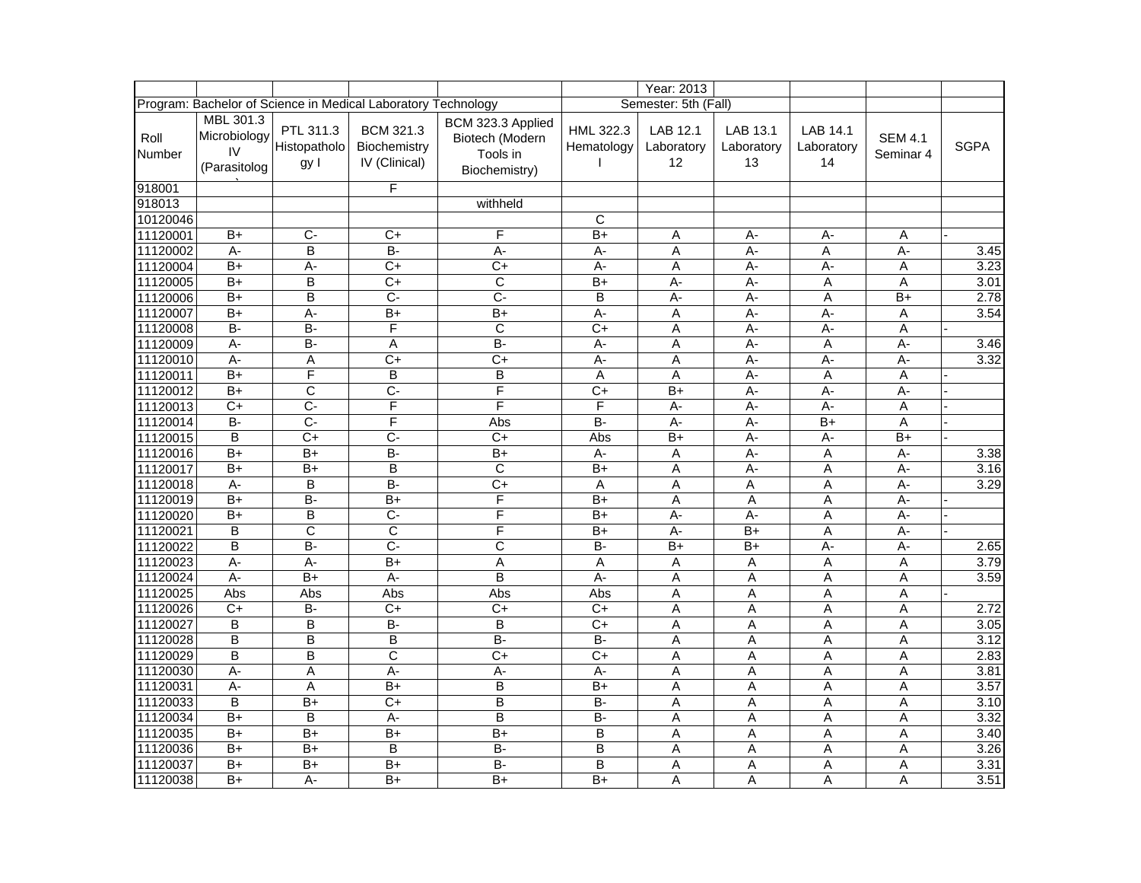|                       |                                                 |                                   |                                                               |                                                                   |                         | Year: 2013                   |                              |                              |                             |             |
|-----------------------|-------------------------------------------------|-----------------------------------|---------------------------------------------------------------|-------------------------------------------------------------------|-------------------------|------------------------------|------------------------------|------------------------------|-----------------------------|-------------|
|                       |                                                 |                                   | Program: Bachelor of Science in Medical Laboratory Technology |                                                                   |                         | Semester: 5th (Fall)         |                              |                              |                             |             |
| Roll<br><b>Number</b> | MBL 301.3<br>Microbiology<br>IV<br>(Parasitolog | PTL 311.3<br>Histopatholo<br>gy l | BCM 321.3<br>Biochemistry<br>IV (Clinical)                    | BCM 323.3 Applied<br>Biotech (Modern<br>Tools in<br>Biochemistry) | HML 322.3<br>Hematology | LAB 12.1<br>Laboratory<br>12 | LAB 13.1<br>Laboratory<br>13 | LAB 14.1<br>Laboratory<br>14 | <b>SEM 4.1</b><br>Seminar 4 | <b>SGPA</b> |
| 918001                |                                                 |                                   | F                                                             |                                                                   |                         |                              |                              |                              |                             |             |
| 918013                |                                                 |                                   |                                                               | withheld                                                          |                         |                              |                              |                              |                             |             |
| 10120046              |                                                 |                                   |                                                               |                                                                   | $\mathsf{C}$            |                              |                              |                              |                             |             |
| 11120001              | $B+$                                            | $C -$                             | $C+$                                                          | F                                                                 | $\overline{B+}$         | Α                            | A-                           | А-                           | Α                           |             |
| 11120002              | $A -$                                           | B                                 | <b>B-</b>                                                     | A-                                                                | $A -$                   | A                            | A-                           | A                            | $\overline{A}$ -            | 3.45        |
| 11120004              | $B+$                                            | A-                                | $\overline{C}$                                                | $\overline{C}$                                                    | $\overline{A}$ -        | A                            | $\overline{A}$ -             | $A -$                        | A                           | 3.23        |
| 11120005              | B+                                              | B                                 | $C+$                                                          | C                                                                 | $B+$                    | A-                           | А-                           | Α                            | Α                           | 3.01        |
| 11120006              | $B+$                                            | $\overline{B}$                    | $\overline{C}$                                                | $\overline{C}$                                                    | $\overline{\mathsf{B}}$ | $A -$                        | $\overline{A}$ -             | A                            | $B+$                        | 2.78        |
| 11120007              | B+                                              | А-                                | $\overline{B+}$                                               | $\overline{B+}$                                                   | $\overline{A}$ -        | A                            | $\overline{A}$ -             | $\overline{A}$ -             | Α                           | 3.54        |
| 11120008              | $B -$                                           | B-                                | F                                                             | C                                                                 | $\overline{C}$          | A                            | A-                           | $A -$                        | А                           |             |
| 11120009              | $\overline{A}$ -                                | $\overline{B}$                    | A                                                             | $B -$                                                             | $\overline{A}$ -        | A                            | $\overline{A}$ -             | A                            | $\overline{A}$ -            | 3.46        |
| 11120010              | $\overline{A}$ -                                | A                                 | $C+$                                                          | $C+$                                                              | $\overline{A}$ -        | A                            | A-                           | $A -$                        | $\overline{A}$ -            | 3.32        |
| 11120011              | $B+$                                            | F                                 | B                                                             | B                                                                 | Α                       | A                            | $\overline{A}$ -             | A                            | Α                           |             |
| 11120012              | $B+$                                            | $\mathsf{C}$                      | $\overline{C}$                                                | $\overline{\mathsf{F}}$                                           | $\overline{C}$          | $B+$                         | $\overline{A}$               | $A -$                        | $\overline{A}$              |             |
| 11120013              | $\overline{C}$                                  | $\overline{C}$                    | F                                                             | F                                                                 | F                       | $\overline{A}$ -             | $\overline{A}$ -             | $\overline{A}$ -             | A                           |             |
| 11120014              | B-                                              | $C -$                             | F                                                             | Abs                                                               | $\overline{B}$          | A-                           | A-                           | $B+$                         | A                           |             |
| 11120015              | $\overline{B}$                                  | $\overline{C}$                    | $\overline{C}$                                                | $\overline{C}$                                                    | Abs                     | $B+$                         | $\overline{A}$ -             | $A -$                        | $B+$                        |             |
| 11120016              | $B+$                                            | B+                                | B-                                                            | $B+$                                                              | $\overline{A}$          | A                            | A-                           | A                            | $\overline{A}$ -            | 3.38        |
| 11120017              | $B+$                                            | B+                                | B                                                             | $\mathsf C$                                                       | B+                      | A                            | A-                           | A                            | $A -$                       | 3.16        |
| 11120018              | A-                                              | B                                 | $B -$                                                         | $\overline{C+}$                                                   | A                       | A                            | A                            | A                            | $A -$                       | 3.29        |
| 11120019              | $B+$                                            | B-                                | $B+$                                                          | F                                                                 | $\overline{B+}$         | A                            | A                            | A                            | A-                          |             |
| 11120020              | $\overline{B+}$                                 | B                                 | $\overline{C}$                                                | $\overline{\mathsf{F}}$                                           | $B+$                    | $\overline{A}$ -             | $\overline{A}$ -             | Α                            | $\overline{A}$ -            |             |
| 11120021              | $\overline{B}$                                  | $\overline{C}$                    | $\overline{C}$                                                | F                                                                 | $B+$                    | $A -$                        | $B+$                         | A                            | $A -$                       |             |
| 11120022              | B                                               | B-                                | $\overline{C}$                                                | С                                                                 | B-                      | $B+$                         | B+                           | $A -$                        | A-                          | 2.65        |
| 11120023              | $A -$                                           | A-                                | $B+$                                                          | A                                                                 | A                       | A                            | A                            | A                            | A                           | 3.79        |
| 11120024              | $A -$                                           | $\overline{B+}$                   | $\overline{A}$ -                                              | B                                                                 | $\overline{A}$ -        | A                            | A                            | A                            | A                           | 3.59        |
| 11120025              | Abs                                             | Abs                               | Abs                                                           | Abs                                                               | Abs                     | Α                            | Α                            | Α                            | А                           |             |
| 11120026              | $\overline{C}$                                  | B-                                | $\overline{C}$                                                | $\overline{C+}$                                                   | $C+$                    | A                            | A                            | A                            | A                           | 2.72        |
| 11120027              | B                                               | B                                 | $\overline{B}$                                                | B                                                                 | $\overline{C}$          | A                            | A                            | Α                            | A                           | 3.05        |
| 11120028              | B                                               | B                                 | B                                                             | $\overline{B}$                                                    | $\overline{B}$          | A                            | A                            | A                            | Α                           | 3.12        |
| 11120029              | $\overline{B}$                                  | B                                 | $\overline{C}$                                                | $\overline{C+}$                                                   | $\overline{C+}$         | A                            | A                            | A                            | A                           | 2.83        |
| 11120030              | $\overline{A}$ -                                | A                                 | $\overline{A}$                                                | $\overline{A}$ -                                                  | $\overline{A}$ -        | A                            | A                            | A                            | A                           | 3.81        |
| 11120031              | A-                                              | Α                                 | $B+$                                                          | В                                                                 | $B+$                    | A                            | Α                            | A                            | Α                           | 3.57        |
| 11120033              | $\overline{B}$                                  | $B+$                              | $\overline{C}$                                                | $\overline{\mathsf{B}}$                                           | $B -$                   | A                            | A                            | A                            | Α                           | 3.10        |
| 11120034              | $\overline{B+}$                                 | B                                 | A-                                                            | B                                                                 | $\overline{B}$          | A                            | Α                            | A                            | A                           | 3.32        |
| 11120035              | $B+$                                            | B+                                | $B+$                                                          | $B+$                                                              | B                       | A                            | A                            | Α                            | Α                           | 3.40        |
| 11120036              | B+                                              | B+                                | $\overline{B}$                                                | $B -$                                                             | $\overline{B}$          | A                            | A                            | A                            | A                           | 3.26        |
| 11120037              | B+                                              | B+                                | $\overline{B+}$                                               | $\overline{B}$                                                    | B                       | Α                            | Α                            | Α                            | Α                           | 3.31        |
| 11120038              | $\overline{B+}$                                 | $\overline{A}$ -                  | $\overline{B+}$                                               | $\overline{B+}$                                                   | $B+$                    | A                            | A                            | A                            | Α                           | 3.51        |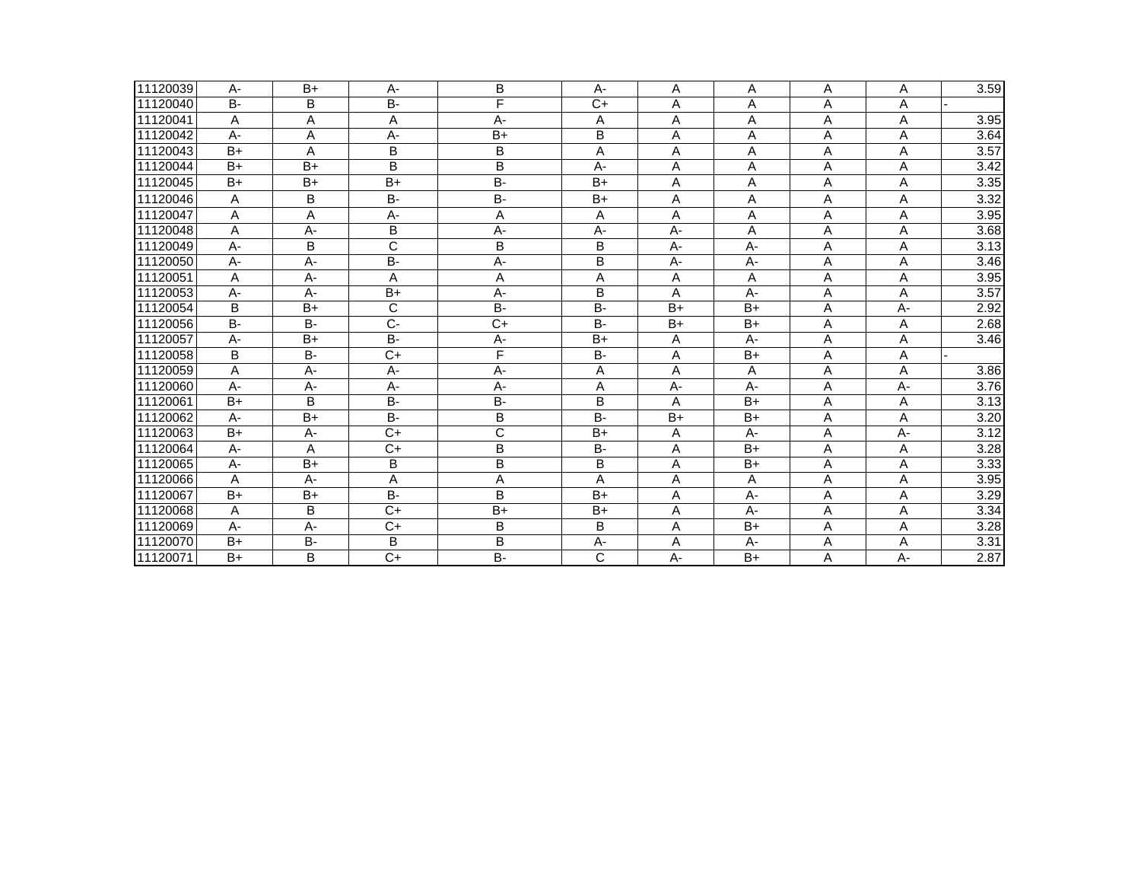| 11120039 | А-        | $B+$      | А-                      | В              | A-                      | Α               | Α     | Α | Α     | 3.59 |
|----------|-----------|-----------|-------------------------|----------------|-------------------------|-----------------|-------|---|-------|------|
| 11120040 | <b>B-</b> | B         | B-                      | F              | $C+$                    | A               | A     | A | A     |      |
| 11120041 | A         | A         | A                       | A-             | Α                       | Α               | A     | A | A     | 3.95 |
| 11120042 | A-        | Α         | A-                      | $B+$           | B                       | Α               | Α     | Α | Α     | 3.64 |
| 11120043 | $B+$      | A         | B                       | B              | Α                       | Α               | Α     | Α | Α     | 3.57 |
| 11120044 | $B+$      | $B+$      | B                       | B              | A-                      | Α               | A     | A | A     | 3.42 |
| 11120045 | $B+$      | $B+$      | $B+$                    | B-             | $B+$                    | Α               | Α     | Α | Α     | 3.35 |
| 11120046 | A         | B         | B-                      | B-             | $B+$                    | Α               | A     | A | A     | 3.32 |
| 11120047 | A         | Α         | A-                      | Α              | Α                       | A               | Α     | Α | Α     | 3.95 |
| 11120048 | A         | $A -$     | B                       | A-             | $A -$                   | $A -$           | A     | A | A     | 3.68 |
| 11120049 | A-        | B         | $\overline{\mathsf{C}}$ | B              | B                       | A-              | $A -$ | Α | Α     | 3.13 |
| 11120050 | A-        | $A -$     | B-                      | A-             | B                       | A-              | A-    | Α | Α     | 3.46 |
| 11120051 | A         | A-        | A                       | A              | А                       | Α               | Α     | Α | A     | 3.95 |
| 11120053 | A-        | $A -$     | $B+$                    | $A -$          | B                       | A               | $A -$ | A | A     | 3.57 |
| 11120054 | B         | $B+$      | $\mathsf C$             | B-             | B-                      | $B+$            | $B+$  | Α | A-    | 2.92 |
| 11120056 | <b>B-</b> | B-        | $\overline{C}$          | $\overline{C}$ | B-                      | $\overline{B+}$ | $B+$  | Α | Α     | 2.68 |
| 11120057 | А-        | $B+$      | <b>B-</b>               | A-             | $B+$                    | A               | A-    | Α | Α     | 3.46 |
| 11120058 | B         | $B -$     | $C+$                    | F              | $B -$                   | Α               | $B+$  | Α | A     |      |
| 11120059 | Α         | $A -$     | A-                      | A-             | Α                       | Α               | A     | Α | Α     | 3.86 |
| 11120060 | $A -$     | $A -$     | A-                      | A-             | Α                       | A-              | $A -$ | A | A-    | 3.76 |
| 11120061 | $B+$      | B         | B-                      | B-             | В                       | A               | $B+$  | Α | Α     | 3.13 |
| 11120062 | $A -$     | $B+$      | <b>B-</b>               | B              | $B -$                   | $B+$            | $B+$  | A | A     | 3.20 |
| 11120063 | $B+$      | A-        | $C+$                    | C              | $B+$                    | Α               | $A -$ | Α | A-    | 3.12 |
| 11120064 | A-        | A         | $\overline{C}$          | B              | B-                      | Α               | $B+$  | Α | A     | 3.28 |
| 11120065 | A-        | $B+$      | В                       | B              | В                       | Α               | $B+$  | Α | Α     | 3.33 |
| 11120066 | A         | $A -$     | A                       | A              | A                       | Α               | A     | A | A     | 3.95 |
| 11120067 | $B+$      | $B+$      | B-                      | B              | $B+$                    | Α               | A-    | Α | Α     | 3.29 |
| 11120068 | A         | B         | $C+$                    | $B+$           | $B+$                    | A               | $A -$ | A | A     | 3.34 |
| 11120069 | A-        | A-        | $C+$                    | B              | B                       | Α               | $B+$  | Α | A     | 3.28 |
| 11120070 | $B+$      | <b>B-</b> | В                       | B              | A-                      | Α               | A-    | Α | Α     | 3.31 |
| 11120071 | $B+$      | B         | $C+$                    | B-             | $\overline{\mathsf{C}}$ | A-              | $B+$  | A | $A -$ | 2.87 |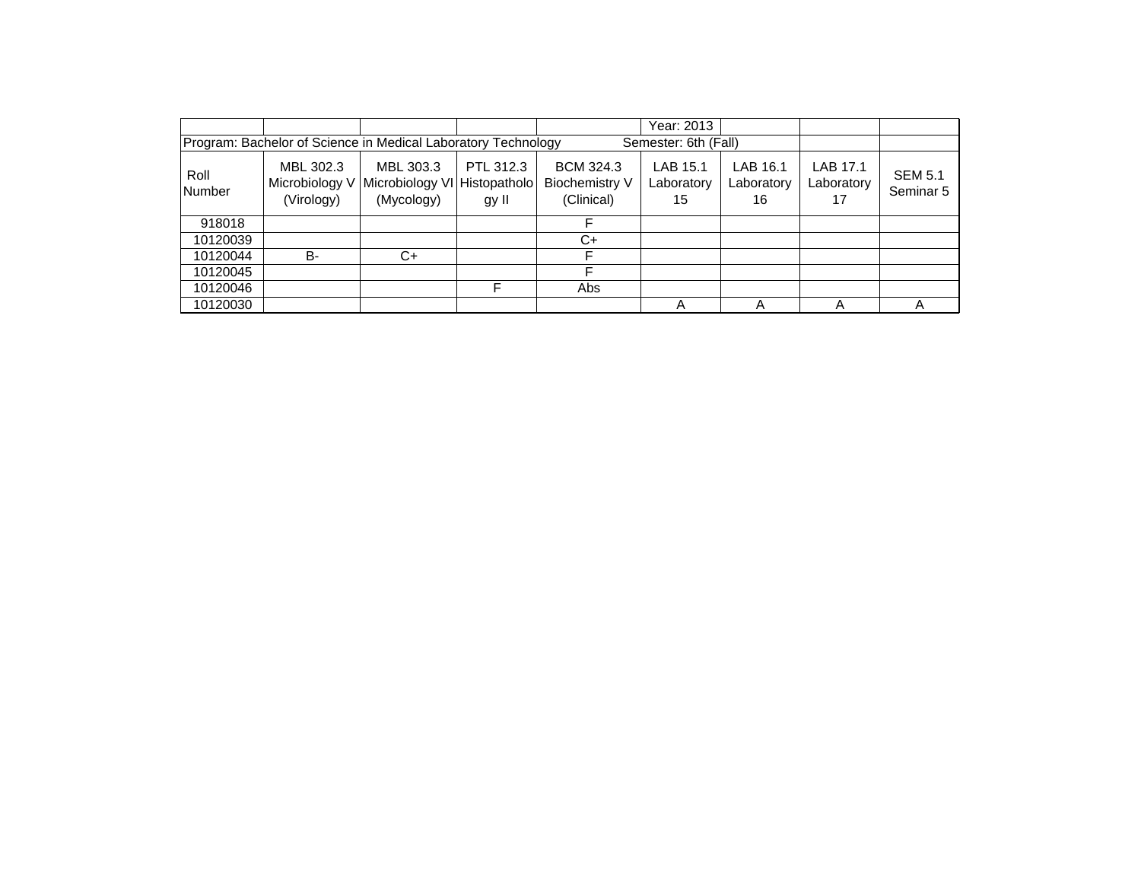|                                                                                       |                                           |                                            |                                    |                                                  | Year: 2013                   |                              |                              |                             |  |
|---------------------------------------------------------------------------------------|-------------------------------------------|--------------------------------------------|------------------------------------|--------------------------------------------------|------------------------------|------------------------------|------------------------------|-----------------------------|--|
| Program: Bachelor of Science in Medical Laboratory Technology<br>Semester: 6th (Fall) |                                           |                                            |                                    |                                                  |                              |                              |                              |                             |  |
| Roll<br><b>Number</b>                                                                 | MBL 302.3<br>Microbiology V<br>(Virology) | MBL 303.3<br>Microbiology VI<br>(Mycology) | PTL 312.3<br>Histopatholo<br>gy II | <b>BCM 324.3</b><br>Biochemistry V<br>(Clinical) | LAB 15.1<br>Laboratory<br>15 | LAB 16.1<br>Laboratory<br>16 | LAB 17.1<br>Laboratory<br>17 | <b>SEM 5.1</b><br>Seminar 5 |  |
| 918018                                                                                |                                           |                                            |                                    |                                                  |                              |                              |                              |                             |  |
| 10120039                                                                              |                                           |                                            |                                    | C+                                               |                              |                              |                              |                             |  |
| 10120044                                                                              | B-                                        | C+                                         |                                    |                                                  |                              |                              |                              |                             |  |
| 10120045                                                                              |                                           |                                            |                                    |                                                  |                              |                              |                              |                             |  |
| 10120046                                                                              |                                           |                                            | F                                  | Abs                                              |                              |                              |                              |                             |  |
| 10120030                                                                              |                                           |                                            |                                    |                                                  | А                            |                              | A                            |                             |  |